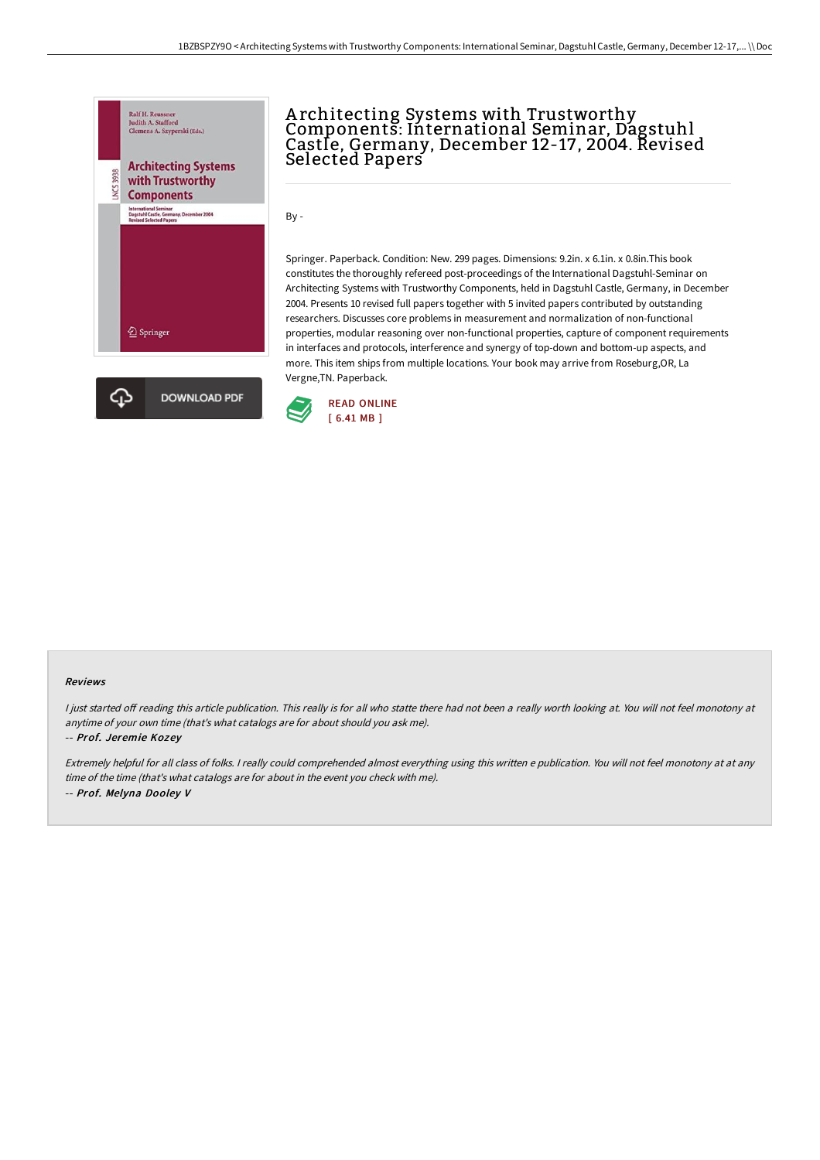A rchitecting Systems with Trustworthy

Components: International Seminar, Dagstuhl Castle, Germany, December 12-17, 2004. Revised



# Vergne,TN. Paperback. **DOWNLOAD PDF**

By -

### Springer. Paperback. Condition: New. 299 pages. Dimensions: 9.2in. x 6.1in. x 0.8in.This book constitutes the thoroughly refereed post-proceedings of the International Dagstuhl-Seminar on Architecting Systems with Trustworthy Components, held in Dagstuhl Castle, Germany, in December 2004. Presents 10 revised full papers together with 5 invited papers contributed by outstanding researchers. Discusses core problems in measurement and normalization of non-functional properties, modular reasoning over non-functional properties, capture of component requirements in interfaces and protocols, interference and synergy of top-down and bottom-up aspects, and more. This item ships from multiple locations. Your book may arrive from Roseburg,OR, La



Selected Papers

#### Reviews

I just started off reading this article publication. This really is for all who statte there had not been a really worth looking at. You will not feel monotony at anytime of your own time (that's what catalogs are for about should you ask me).

-- Prof. Jeremie Kozey

ረ7

Extremely helpful for all class of folks. <sup>I</sup> really could comprehended almost everything using this written <sup>e</sup> publication. You will not feel monotony at at any time of the time (that's what catalogs are for about in the event you check with me). -- Prof. Melyna Dooley V